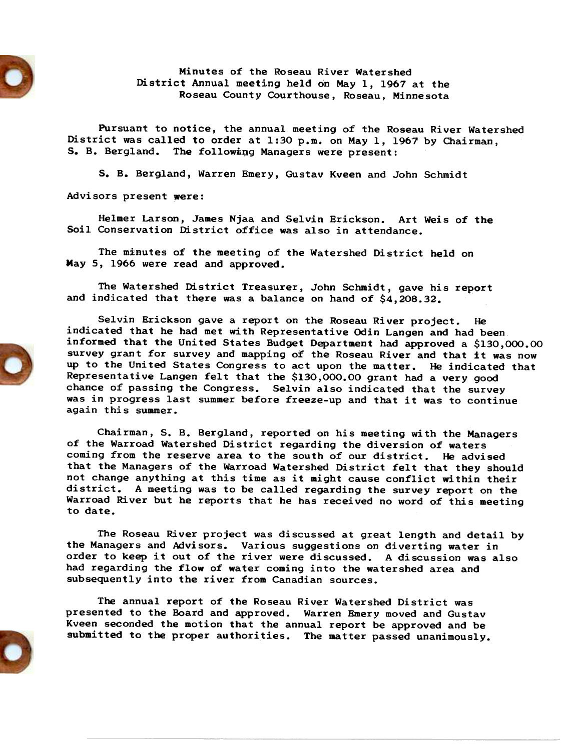Minutes of the Roseau River Watershed District Annual meeting held on May 1,1967 at the Roseau County Courthouse, Roseau, Minnesota

Pursuant to notice, the annual meeting of the Roseau River Watershed District was called to order at 1:30 p.m. on May 1, 1967 by Chairman, S. B. Bergland. The following Managers were present:

S. B. Bergland, Warren Emery, Gustav Kveen and John Schmidt

Advisors present were:

Helmer Larson, James Njaa and Selvin Erickson. Art weis of the Soil Conservation District office was also in attendance.

The minutes of the meeting of the Watershed District held on May 5, 1966 were read and approved.

The Watershed District Treasurer, John Schmidt, gave his report and indicated that there was a balance on hand of  $$4,208.32$ .



Selvin Erickson gave a report on the Roseau River project. He indicated that he had met with Representative Odin Langen and had been informed that the United States Budget Department had approved a \$130,000.00 survey grant for survey and mapping of the Roseau River and that it was now up to the United States Congress to act upon the matter. He indicated that Representative Langen felt that the \$130,000.00 grant had a very good chance of passing the Congress. Selvin also indicated that the survey was in progress last summer before freeze-up and that it was to continue again this summer.

Chairman, S. B. Bergland, reported on his meeting with the Managers of the Warroad Watershed District regarding the diversion of waters coming from the reserve area to the south of our district. He advised that the Managers of the Warroad Watershed District felt that they should not change anything at this time as it might cause conflict within their district. A meeting was to be called regarding the survey report on the Warroad River but he reports that he has received no word of this meeting to date.

The Roseau River project was discussed at great length and detail by the Managers and Advisors. Various suggestions on diverting water in order to keep it out of the river were discussed. A discussion was also had regarding the flow of water coming into the watershed area and subsequently into the river from Canadian sources.

The annual report of the Roseau River Watershed District was presented to the Board and approved. Warren Emery moved and Gustav Kveen seconded the motion that the annual report be approved and be submitted to the proper authorities. The matter passed unanimously.